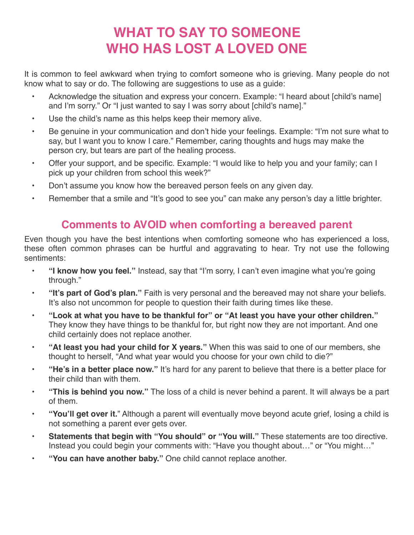# **WHAT TO SAY TO SOMEONE WHO HAS LOST A LOVED ONE**

It is common to feel awkward when trying to comfort someone who is grieving. Many people do not know what to say or do. The following are suggestions to use as a guide:

- Acknowledge the situation and express your concern. Example: "I heard about [child's name] and I'm sorry." Or "I just wanted to say I was sorry about [child's name]."
- Use the child's name as this helps keep their memory alive.
- Be genuine in your communication and don't hide your feelings. Example: "I'm not sure what to say, but I want you to know I care." Remember, caring thoughts and hugs may make the person cry, but tears are part of the healing process.
- Offer your support, and be specific. Example: "I would like to help you and your family; can I pick up your children from school this week?"
- Don't assume you know how the bereaved person feels on any given day.
- Remember that a smile and "It's good to see you" can make any person's day a little brighter.

#### **Comments to AVOID when comforting a bereaved parent**

Even though you have the best intentions when comforting someone who has experienced a loss, these often common phrases can be hurtful and aggravating to hear. Try not use the following sentiments:

- **"I know how you feel."** Instead, say that "I'm sorry, I can't even imagine what you're going through."
- **"It's part of God's plan."** Faith is very personal and the bereaved may not share your beliefs. It's also not uncommon for people to question their faith during times like these.
- **"Look at what you have to be thankful for" or "At least you have your other children."** They know they have things to be thankful for, but right now they are not important. And one child certainly does not replace another.
- **"At least you had your child for X years."** When this was said to one of our members, she thought to herself, "And what year would you choose for your own child to die?"
- **"He's in a better place now."** It's hard for any parent to believe that there is a better place for their child than with them.
- **"This is behind you now."** The loss of a child is never behind a parent. It will always be a part of them.
- **"You'll get over it.**" Although a parent will eventually move beyond acute grief, losing a child is not something a parent ever gets over.
- **Statements that begin with "You should" or "You will."** These statements are too directive. Instead you could begin your comments with: "Have you thought about…" or "You might…"
- **"You can have another baby."** One child cannot replace another.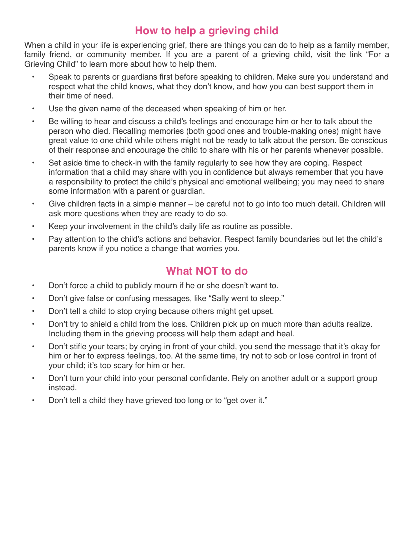#### **How to help a grieving child**

When a child in your life is experiencing grief, there are things you can do to help as a family member, family friend, or community member. If you are a parent of a grieving child, visit the link "For a Grieving Child" to learn more about how to help them.

- Speak to parents or guardians first before speaking to children. Make sure you understand and respect what the child knows, what they don't know, and how you can best support them in their time of need.
- Use the given name of the deceased when speaking of him or her.
- Be willing to hear and discuss a child's feelings and encourage him or her to talk about the person who died. Recalling memories (both good ones and trouble-making ones) might have great value to one child while others might not be ready to talk about the person. Be conscious of their response and encourage the child to share with his or her parents whenever possible.
- Set aside time to check-in with the family regularly to see how they are coping. Respect information that a child may share with you in confidence but always remember that you have a responsibility to protect the child's physical and emotional wellbeing; you may need to share some information with a parent or guardian.
- Give children facts in a simple manner be careful not to go into too much detail. Children will ask more questions when they are ready to do so.
- Keep your involvement in the child's daily life as routine as possible.
- Pay attention to the child's actions and behavior. Respect family boundaries but let the child's parents know if you notice a change that worries you.

#### **What NOT to do**

- Don't force a child to publicly mourn if he or she doesn't want to.
- Don't give false or confusing messages, like "Sally went to sleep."
- Don't tell a child to stop crying because others might get upset.
- Don't try to shield a child from the loss. Children pick up on much more than adults realize. Including them in the grieving process will help them adapt and heal.
- Don't stifle your tears; by crying in front of your child, you send the message that it's okay for him or her to express feelings, too. At the same time, try not to sob or lose control in front of your child; it's too scary for him or her.
- Don't turn your child into your personal confidante. Rely on another adult or a support group instead.
- Don't tell a child they have grieved too long or to "get over it."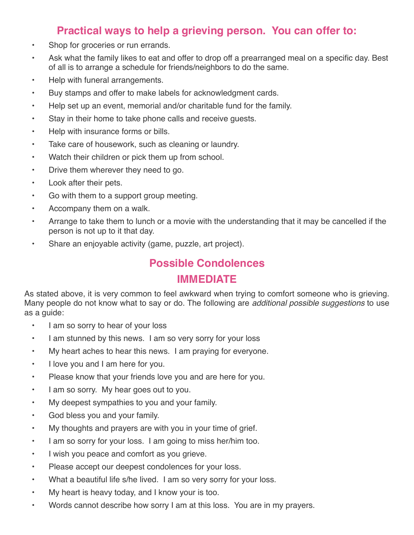#### **Practical ways to help a grieving person. You can offer to:**

- Shop for groceries or run errands.
- Ask what the family likes to eat and offer to drop off a prearranged meal on a specific day. Best of all is to arrange a schedule for friends/neighbors to do the same.
- Help with funeral arrangements.
- Buy stamps and offer to make labels for acknowledgment cards.
- Help set up an event, memorial and/or charitable fund for the family.
- Stay in their home to take phone calls and receive guests.
- Help with insurance forms or bills.
- Take care of housework, such as cleaning or laundry.
- Watch their children or pick them up from school.
- Drive them wherever they need to go.
- Look after their pets.
- Go with them to a support group meeting.
- Accompany them on a walk.
- Arrange to take them to lunch or a movie with the understanding that it may be cancelled if the person is not up to it that day.
- Share an enjoyable activity (game, puzzle, art project).

#### **Possible Condolences**

#### **IMMEDIATE**

As stated above, it is very common to feel awkward when trying to comfort someone who is grieving. Many people do not know what to say or do. The following are *additional possible suggestions* to use as a guide:

- I am so sorry to hear of your loss
- I am stunned by this news. I am so very sorry for your loss
- My heart aches to hear this news. I am praying for everyone.
- I love you and I am here for you.
- Please know that your friends love you and are here for you.
- I am so sorry. My hear goes out to you.
- My deepest sympathies to you and your family.
- God bless you and your family.
- My thoughts and prayers are with you in your time of grief.
- I am so sorry for your loss. I am going to miss her/him too.
- I wish you peace and comfort as you grieve.
- Please accept our deepest condolences for your loss.
- What a beautiful life s/he lived. I am so very sorry for your loss.
- My heart is heavy today, and I know your is too.
- Words cannot describe how sorry I am at this loss. You are in my prayers.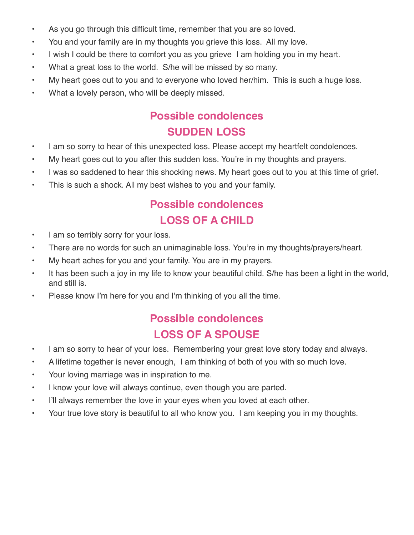- As you go through this difficult time, remember that you are so loved.
- You and your family are in my thoughts you grieve this loss. All my love.
- I wish I could be there to comfort you as you grieve I am holding you in my heart.
- What a great loss to the world. S/he will be missed by so many.
- My heart goes out to you and to everyone who loved her/him. This is such a huge loss.
- What a lovely person, who will be deeply missed.

## **Possible condolences SUDDEN LOSS**

- I am so sorry to hear of this unexpected loss. Please accept my heartfelt condolences.
- My heart goes out to you after this sudden loss. You're in my thoughts and prayers.
- I was so saddened to hear this shocking news. My heart goes out to you at this time of grief.
- This is such a shock. All my best wishes to you and your family.

## **Possible condolences LOSS OF A CHILD**

- I am so terribly sorry for your loss.
- There are no words for such an unimaginable loss. You're in my thoughts/prayers/heart.
- My heart aches for you and your family. You are in my prayers.
- It has been such a joy in my life to know your beautiful child. S/he has been a light in the world, and still is.
- Please know I'm here for you and I'm thinking of you all the time.

## **Possible condolences LOSS OF A SPOUSE**

- I am so sorry to hear of your loss. Remembering your great love story today and always.
- A lifetime together is never enough, I am thinking of both of you with so much love.
- Your loving marriage was in inspiration to me.
- I know your love will always continue, even though you are parted.
- I'll always remember the love in your eyes when you loved at each other.
- Your true love story is beautiful to all who know you. I am keeping you in my thoughts.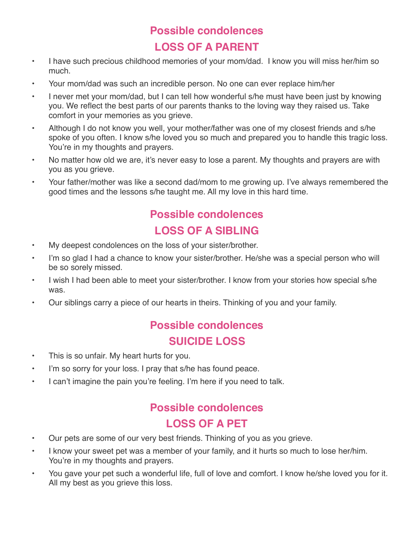## **Possible condolences LOSS OF A PARENT**

- I have such precious childhood memories of your mom/dad. I know you will miss her/him so much.
- Your mom/dad was such an incredible person. No one can ever replace him/her
- I never met your mom/dad, but I can tell how wonderful s/he must have been just by knowing you. We reflect the best parts of our parents thanks to the loving way they raised us. Take comfort in your memories as you grieve.
- Although I do not know you well, your mother/father was one of my closest friends and s/he spoke of you often. I know s/he loved you so much and prepared you to handle this tragic loss. You're in my thoughts and prayers.
- No matter how old we are, it's never easy to lose a parent. My thoughts and prayers are with you as you grieve.
- Your father/mother was like a second dad/mom to me growing up. I've always remembered the good times and the lessons s/he taught me. All my love in this hard time.

# **Possible condolences LOSS OF A SIBLING**

- My deepest condolences on the loss of your sister/brother.
- I'm so glad I had a chance to know your sister/brother. He/she was a special person who will be so sorely missed.
- I wish I had been able to meet your sister/brother. I know from your stories how special s/he was.
- Our siblings carry a piece of our hearts in theirs. Thinking of you and your family.

### **Possible condolences SUICIDE LOSS**

- This is so unfair. My heart hurts for you.
- I'm so sorry for your loss. I pray that s/he has found peace.
- I can't imagine the pain you're feeling. I'm here if you need to talk.

## **Possible condolences LOSS OF A PET**

- Our pets are some of our very best friends. Thinking of you as you grieve.
- I know your sweet pet was a member of your family, and it hurts so much to lose her/him. You're in my thoughts and prayers.
- You gave your pet such a wonderful life, full of love and comfort. I know he/she loved you for it. All my best as you grieve this loss.